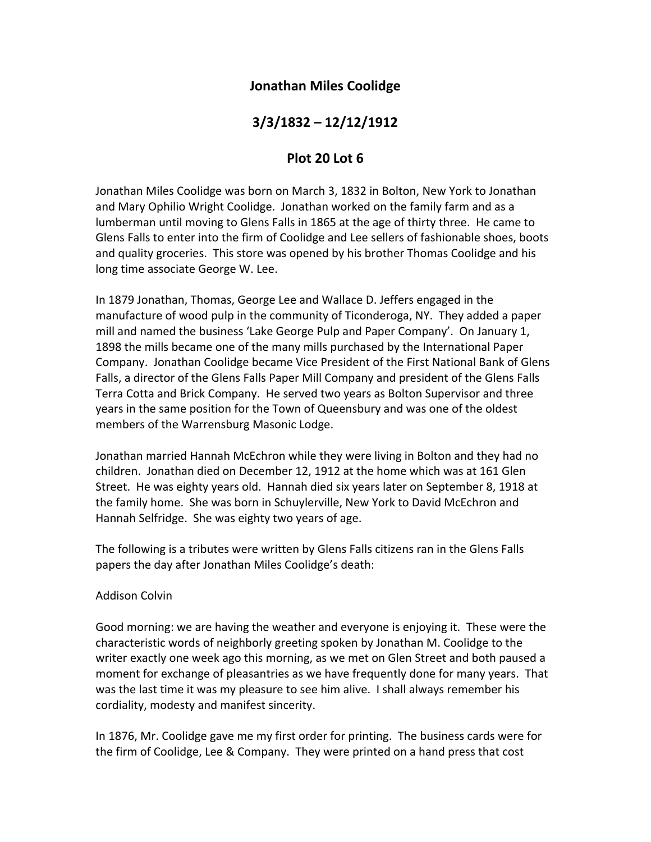## **Jonathan Miles Coolidge**

# **3/3/1832 – 12/12/1912**

### **Plot 20 Lot 6**

Jonathan Miles Coolidge was born on March 3, 1832 in Bolton, New York to Jonathan and Mary Ophilio Wright Coolidge. Jonathan worked on the family farm and as a lumberman until moving to Glens Falls in 1865 at the age of thirty three. He came to Glens Falls to enter into the firm of Coolidge and Lee sellers of fashionable shoes, boots and quality groceries. This store was opened by his brother Thomas Coolidge and his long time associate George W. Lee.

In 1879 Jonathan, Thomas, George Lee and Wallace D. Jeffers engaged in the manufacture of wood pulp in the community of Ticonderoga, NY. They added a paper mill and named the business 'Lake George Pulp and Paper Company'. On January 1, 1898 the mills became one of the many mills purchased by the International Paper Company. Jonathan Coolidge became Vice President of the First National Bank of Glens Falls, a director of the Glens Falls Paper Mill Company and president of the Glens Falls Terra Cotta and Brick Company. He served two years as Bolton Supervisor and three years in the same position for the Town of Queensbury and was one of the oldest members of the Warrensburg Masonic Lodge.

Jonathan married Hannah McEchron while they were living in Bolton and they had no children. Jonathan died on December 12, 1912 at the home which was at 161 Glen Street. He was eighty years old. Hannah died six years later on September 8, 1918 at the family home. She was born in Schuylerville, New York to David McEchron and Hannah Selfridge. She was eighty two years of age.

The following is a tributes were written by Glens Falls citizens ran in the Glens Falls papers the day after Jonathan Miles Coolidge's death:

### Addison Colvin

Good morning: we are having the weather and everyone is enjoying it. These were the characteristic words of neighborly greeting spoken by Jonathan M. Coolidge to the writer exactly one week ago this morning, as we met on Glen Street and both paused a moment for exchange of pleasantries as we have frequently done for many years. That was the last time it was my pleasure to see him alive. I shall always remember his cordiality, modesty and manifest sincerity.

In 1876, Mr. Coolidge gave me my first order for printing. The business cards were for the firm of Coolidge, Lee & Company. They were printed on a hand press that cost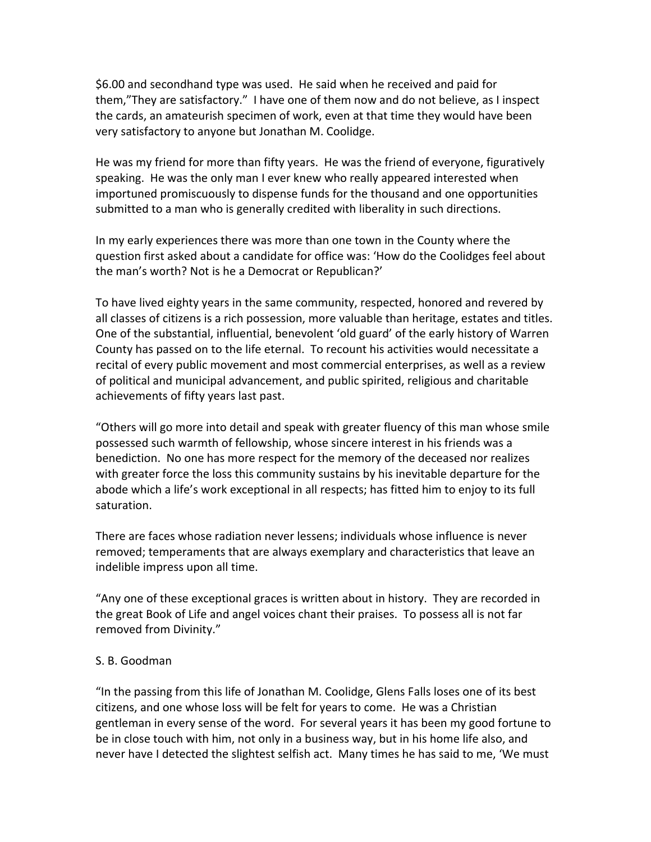\$6.00 and secondhand type was used. He said when he received and paid for them,"They are satisfactory." I have one of them now and do not believe, as I inspect the cards, an amateurish specimen of work, even at that time they would have been very satisfactory to anyone but Jonathan M. Coolidge.

He was my friend for more than fifty years. He was the friend of everyone, figuratively speaking. He was the only man I ever knew who really appeared interested when importuned promiscuously to dispense funds for the thousand and one opportunities submitted to a man who is generally credited with liberality in such directions.

In my early experiences there was more than one town in the County where the question first asked about a candidate for office was: 'How do the Coolidges feel about the man's worth? Not is he a Democrat or Republican?'

To have lived eighty years in the same community, respected, honored and revered by all classes of citizens is a rich possession, more valuable than heritage, estates and titles. One of the substantial, influential, benevolent 'old guard' of the early history of Warren County has passed on to the life eternal. To recount his activities would necessitate a recital of every public movement and most commercial enterprises, as well as a review of political and municipal advancement, and public spirited, religious and charitable achievements of fifty years last past.

"Others will go more into detail and speak with greater fluency of this man whose smile possessed such warmth of fellowship, whose sincere interest in his friends was a benediction. No one has more respect for the memory of the deceased nor realizes with greater force the loss this community sustains by his inevitable departure for the abode which a life's work exceptional in all respects; has fitted him to enjoy to its full saturation.

There are faces whose radiation never lessens; individuals whose influence is never removed; temperaments that are always exemplary and characteristics that leave an indelible impress upon all time.

"Any one of these exceptional graces is written about in history. They are recorded in the great Book of Life and angel voices chant their praises. To possess all is not far removed from Divinity."

### S. B. Goodman

"In the passing from this life of Jonathan M. Coolidge, Glens Falls loses one of its best citizens, and one whose loss will be felt for years to come. He was a Christian gentleman in every sense of the word. For several years it has been my good fortune to be in close touch with him, not only in a business way, but in his home life also, and never have I detected the slightest selfish act. Many times he has said to me, 'We must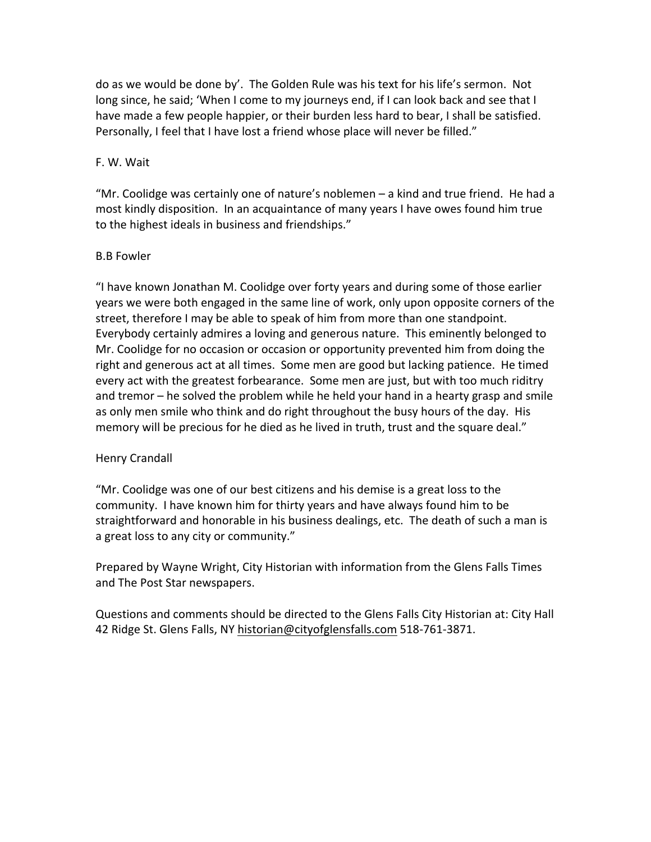do as we would be done by'. The Golden Rule was his text for his life's sermon. Not long since, he said; 'When I come to my journeys end, if I can look back and see that I have made a few people happier, or their burden less hard to bear, I shall be satisfied. Personally, I feel that I have lost a friend whose place will never be filled."

#### F. W. Wait

"Mr. Coolidge was certainly one of nature's noblemen – a kind and true friend. He had a most kindly disposition. In an acquaintance of many years I have owes found him true to the highest ideals in business and friendships."

#### B.B Fowler

"I have known Jonathan M. Coolidge over forty years and during some of those earlier years we were both engaged in the same line of work, only upon opposite corners of the street, therefore I may be able to speak of him from more than one standpoint. Everybody certainly admires a loving and generous nature. This eminently belonged to Mr. Coolidge for no occasion or occasion or opportunity prevented him from doing the right and generous act at all times. Some men are good but lacking patience. He timed every act with the greatest forbearance. Some men are just, but with too much riditry and tremor – he solved the problem while he held your hand in a hearty grasp and smile as only men smile who think and do right throughout the busy hours of the day. His memory will be precious for he died as he lived in truth, trust and the square deal."

### Henry Crandall

"Mr. Coolidge was one of our best citizens and his demise is a great loss to the community. I have known him for thirty years and have always found him to be straightforward and honorable in his business dealings, etc. The death of such a man is a great loss to any city or community."

Prepared by Wayne Wright, City Historian with information from the Glens Falls Times and The Post Star newspapers.

Questions and comments should be directed to the Glens Falls City Historian at: City Hall 42 Ridge St. Glens Falls, NY historian@cityofglensfalls.com 518-761-3871.